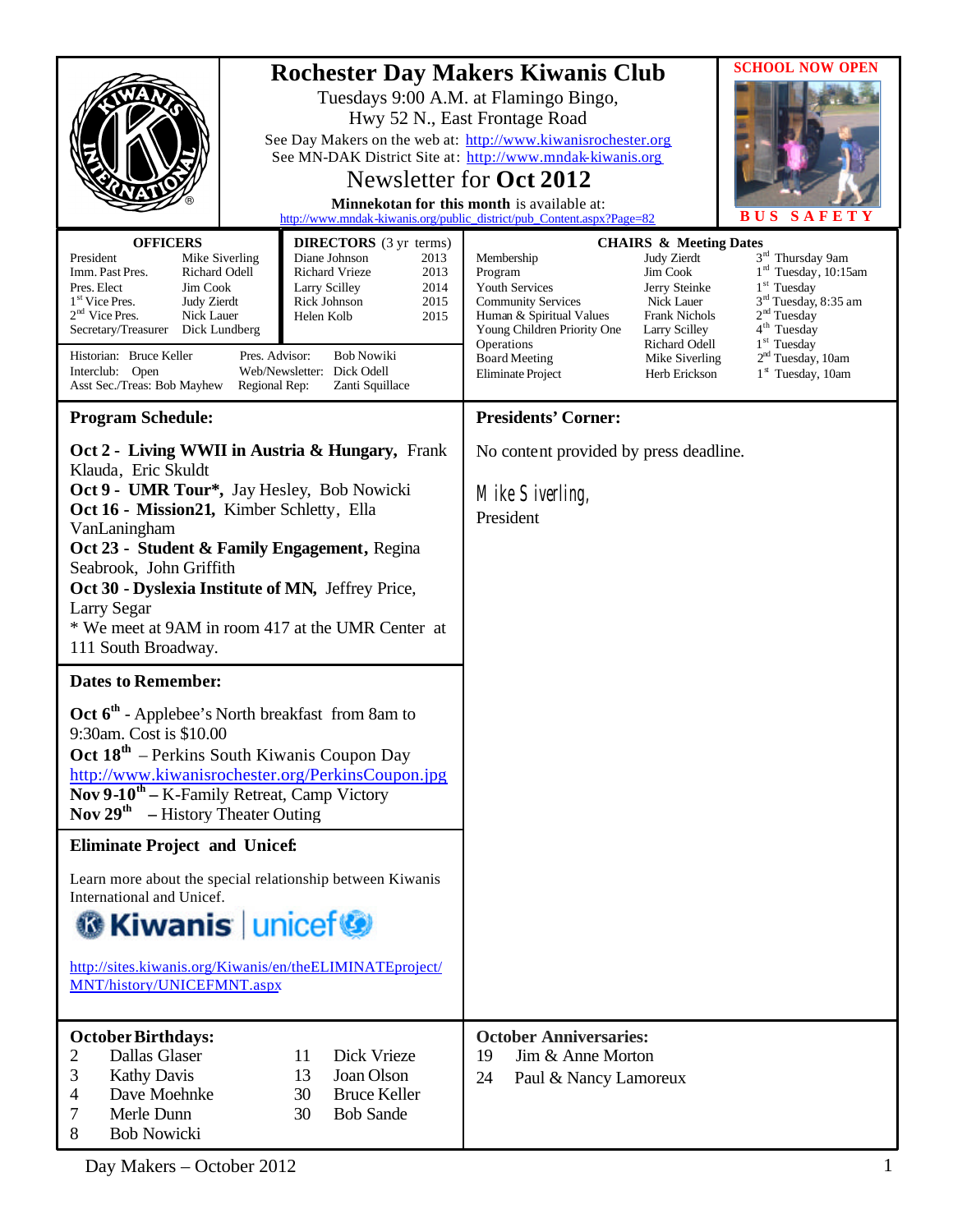|                                                                                                                                                                                                                                                                                                                                                                                                              | <b>Rochester Day Makers Kiwanis Club</b><br>Tuesdays 9:00 A.M. at Flamingo Bingo,<br>Hwy 52 N., East Frontage Road<br>See Day Makers on the web at: http://www.kiwanisrochester.org<br>See MN-DAK District Site at: http://www.mndak-kiwanis.org<br>Newsletter for Oct 2012<br>Minnekotan for this month is available at:<br>http://www.mndak-kiwanis.org/public_district/pub_Content.aspx?Page=82<br><b>CHAIRS &amp; Meeting Dates</b> |                                                                                                                                                                                                   | <b>SCHOOL NOW OPEN</b><br><b>BUS</b><br>SAFET                                                                                                |                                                                                                                                                                                                                                                                |
|--------------------------------------------------------------------------------------------------------------------------------------------------------------------------------------------------------------------------------------------------------------------------------------------------------------------------------------------------------------------------------------------------------------|-----------------------------------------------------------------------------------------------------------------------------------------------------------------------------------------------------------------------------------------------------------------------------------------------------------------------------------------------------------------------------------------------------------------------------------------|---------------------------------------------------------------------------------------------------------------------------------------------------------------------------------------------------|----------------------------------------------------------------------------------------------------------------------------------------------|----------------------------------------------------------------------------------------------------------------------------------------------------------------------------------------------------------------------------------------------------------------|
| <b>OFFICERS</b><br>President<br>Mike Siverling<br>Imm. Past Pres.<br>Richard Odell<br>Pres. Elect<br>Jim Cook<br>1 <sup>st</sup> Vice Pres.<br><b>Judy Zierdt</b><br>$2nd$ Vice Pres.<br>Nick Lauer<br>Secretary/Treasurer<br>Dick Lundberg<br>Historian: Bruce Keller<br>Pres. Advisor:<br>Interclub: Open<br>Asst Sec./Treas: Bob Mayhew<br>Regional Rep:                                                  | <b>DIRECTORS</b> (3 yr terms)<br>Diane Johnson<br>2013<br>2013<br><b>Richard Vrieze</b><br>Larry Scilley<br>2014<br>2015<br>Rick Johnson<br>Helen Kolb<br>2015<br><b>Bob Nowiki</b><br>Web/Newsletter: Dick Odell<br>Zanti Squillace                                                                                                                                                                                                    | Membership<br>Program<br>Youth Services<br><b>Community Services</b><br>Human & Spiritual Values<br>Young Children Priority One<br>Operations<br><b>Board Meeting</b><br><b>Eliminate Project</b> | Judy Zierdt<br>Jim Cook<br>Jerry Steinke<br>Nick Lauer<br>Frank Nichols<br>Larry Scilley<br>Richard Odell<br>Mike Siverling<br>Herb Erickson | 3 <sup>rd</sup> Thursday 9am<br>1 <sup>rd</sup> Tuesday, 10:15am<br>$1st$ Tuesday<br>3 <sup>rd</sup> Tuesday, 8:35 am<br>2 <sup>nd</sup> Tuesday<br>4 <sup>th</sup> Tuesday<br>$1st$ Tuesday<br>2 <sup>nd</sup> Tuesday, 10am<br>1 <sup>st</sup> Tuesday, 10am |
| <b>Program Schedule:</b>                                                                                                                                                                                                                                                                                                                                                                                     |                                                                                                                                                                                                                                                                                                                                                                                                                                         | <b>Presidents' Corner:</b>                                                                                                                                                                        |                                                                                                                                              |                                                                                                                                                                                                                                                                |
| Oct 2 - Living WWII in Austria & Hungary, Frank<br>Klauda, Eric Skuldt<br>Oct 9 - UMR Tour*, Jay Hesley, Bob Nowicki<br>Oct 16 - Mission21, Kimber Schletty, Ella<br>VanLaningham<br>Oct 23 - Student & Family Engagement, Regina<br>Seabrook, John Griffith<br>Oct 30 - Dyslexia Institute of MN, Jeffrey Price,<br>Larry Segar<br>* We meet at 9AM in room 417 at the UMR Center at<br>111 South Broadway. |                                                                                                                                                                                                                                                                                                                                                                                                                                         | No content provided by press deadline.<br>Mike Siverling,<br>President                                                                                                                            |                                                                                                                                              |                                                                                                                                                                                                                                                                |
| <b>Dates to Remember:</b>                                                                                                                                                                                                                                                                                                                                                                                    |                                                                                                                                                                                                                                                                                                                                                                                                                                         |                                                                                                                                                                                                   |                                                                                                                                              |                                                                                                                                                                                                                                                                |
| Oct 6 <sup>th</sup> - Applebee's North breakfast from 8am to<br>9:30am. Cost is \$10.00<br>Oct 18 <sup>th</sup> – Perkins South Kiwanis Coupon Day<br>http://www.kiwanisrochester.org/PerkinsCoupon.jpg<br>Nov 9-10 <sup>th</sup> – K-Family Retreat, Camp Victory<br><b>Nov 29<sup>th</sup></b> – History Theater Outing                                                                                    |                                                                                                                                                                                                                                                                                                                                                                                                                                         |                                                                                                                                                                                                   |                                                                                                                                              |                                                                                                                                                                                                                                                                |
| <b>Eliminate Project and Unicef:</b>                                                                                                                                                                                                                                                                                                                                                                         |                                                                                                                                                                                                                                                                                                                                                                                                                                         |                                                                                                                                                                                                   |                                                                                                                                              |                                                                                                                                                                                                                                                                |
| Learn more about the special relationship between Kiwanis<br>International and Unicef.<br><b>G</b> Kiwanis   unicef<br>http://sites.kiwanis.org/Kiwanis/en/theELIMINATEproject/<br>MNT/history/UNICEFMNT.aspx                                                                                                                                                                                                |                                                                                                                                                                                                                                                                                                                                                                                                                                         |                                                                                                                                                                                                   |                                                                                                                                              |                                                                                                                                                                                                                                                                |
| <b>October Birthdays:</b><br>Dallas Glaser<br>Dick Vrieze<br>2<br>11<br>3<br><b>Kathy Davis</b><br>13<br>Joan Olson<br>4<br>Dave Moehnke<br>30<br><b>Bruce Keller</b><br><b>Bob Sande</b><br>7<br>Merle Dunn<br>30<br>8<br><b>Bob Nowicki</b>                                                                                                                                                                |                                                                                                                                                                                                                                                                                                                                                                                                                                         | <b>October Anniversaries:</b><br>Jim & Anne Morton<br>19<br>24<br>Paul & Nancy Lamoreux                                                                                                           |                                                                                                                                              |                                                                                                                                                                                                                                                                |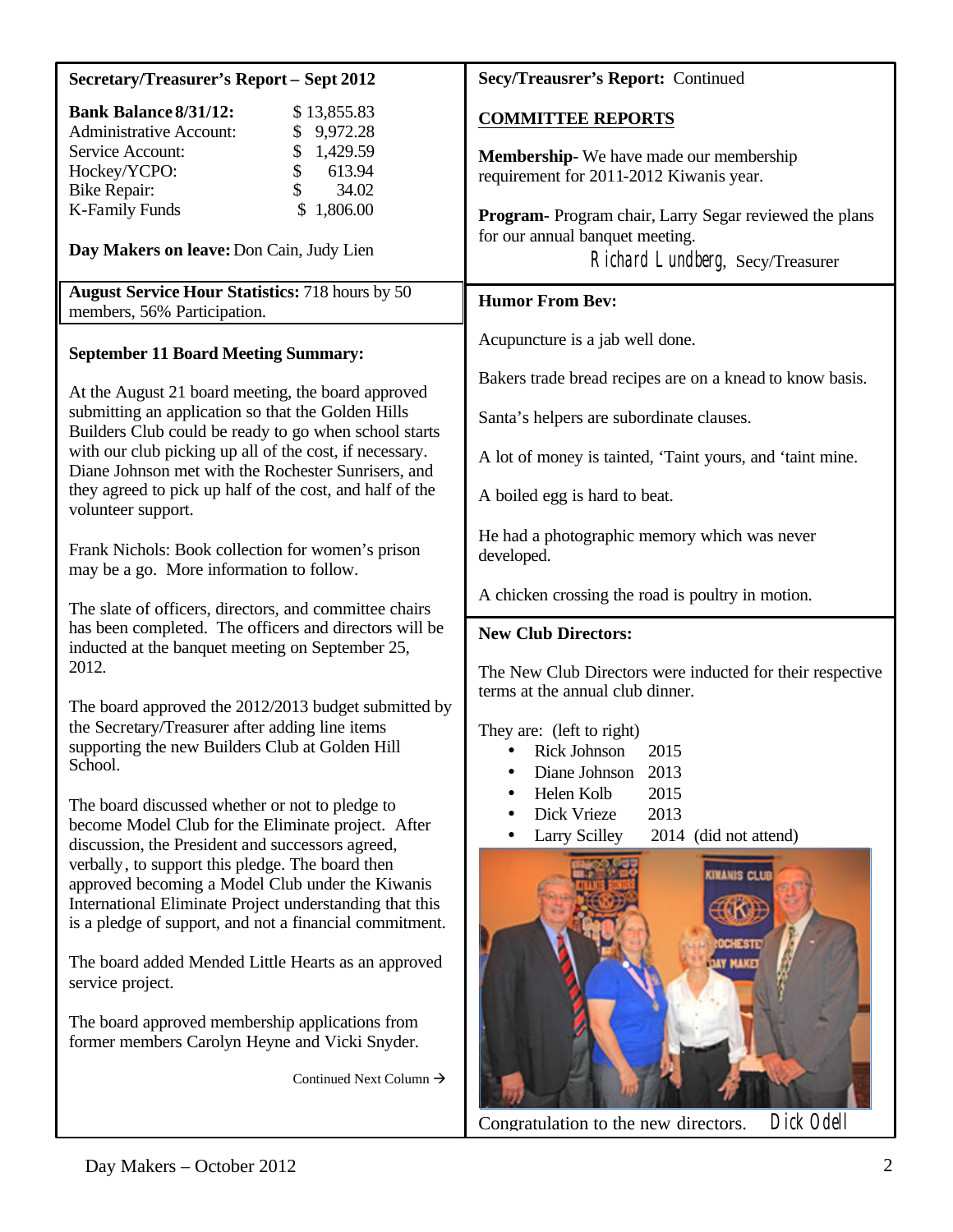| <b>Secretary/Treasurer's Report - Sept 2012</b>                                                                | Secy/Treausrer's Report: Continued                                  |  |  |
|----------------------------------------------------------------------------------------------------------------|---------------------------------------------------------------------|--|--|
| <b>Bank Balance 8/31/12:</b><br>\$13,855.83<br><b>Administrative Account:</b><br>9,972.28                      | <b>COMMITTEE REPORTS</b>                                            |  |  |
| 1,429.59<br>Service Account:<br>\$                                                                             | Membership-We have made our membership                              |  |  |
| \$<br>613.94<br>Hockey/YCPO:                                                                                   | requirement for 2011-2012 Kiwanis year.                             |  |  |
| \$<br>34.02<br><b>Bike Repair:</b>                                                                             |                                                                     |  |  |
| <b>K-Family Funds</b><br>1,806.00                                                                              | Program-Program chair, Larry Segar reviewed the plans               |  |  |
| Day Makers on leave: Don Cain, Judy Lien                                                                       | for our annual banquet meeting.<br>Richard Lundberg, Secy/Treasurer |  |  |
| <b>August Service Hour Statistics: 718 hours by 50</b>                                                         | <b>Humor From Bev:</b>                                              |  |  |
| members, 56% Participation.                                                                                    |                                                                     |  |  |
| <b>September 11 Board Meeting Summary:</b>                                                                     | Acupuncture is a jab well done.                                     |  |  |
|                                                                                                                | Bakers trade bread recipes are on a knead to know basis.            |  |  |
| At the August 21 board meeting, the board approved                                                             |                                                                     |  |  |
| submitting an application so that the Golden Hills<br>Builders Club could be ready to go when school starts    | Santa's helpers are subordinate clauses.                            |  |  |
| with our club picking up all of the cost, if necessary.<br>Diane Johnson met with the Rochester Sunrisers, and | A lot of money is tainted, 'Taint yours, and 'taint mine.           |  |  |
| they agreed to pick up half of the cost, and half of the<br>volunteer support.                                 | A boiled egg is hard to beat.                                       |  |  |
|                                                                                                                | He had a photographic memory which was never                        |  |  |
| Frank Nichols: Book collection for women's prison                                                              | developed.                                                          |  |  |
| may be a go. More information to follow.                                                                       |                                                                     |  |  |
| The slate of officers, directors, and committee chairs                                                         | A chicken crossing the road is poultry in motion.                   |  |  |
| has been completed. The officers and directors will be                                                         | <b>New Club Directors:</b>                                          |  |  |
| inducted at the banquet meeting on September 25,<br>2012.                                                      |                                                                     |  |  |
|                                                                                                                | The New Club Directors were inducted for their respective           |  |  |
| The board approved the 2012/2013 budget submitted by                                                           | terms at the annual club dinner.                                    |  |  |
| the Secretary/Treasurer after adding line items                                                                | They are: (left to right)                                           |  |  |
| supporting the new Builders Club at Golden Hill                                                                | <b>Rick Johnson</b><br>2015                                         |  |  |
| School.                                                                                                        | 2013<br>Diane Johnson                                               |  |  |
|                                                                                                                | 2015<br>Helen Kolb                                                  |  |  |
| The board discussed whether or not to pledge to                                                                | 2013<br>Dick Vrieze                                                 |  |  |
| become Model Club for the Eliminate project. After                                                             | <b>Larry Scilley</b><br>2014 (did not attend)                       |  |  |
| discussion, the President and successors agreed,                                                               |                                                                     |  |  |
| verbally, to support this pledge. The board then                                                               | INANIS CLL                                                          |  |  |
| approved becoming a Model Club under the Kiwanis                                                               |                                                                     |  |  |
| International Eliminate Project understanding that this                                                        |                                                                     |  |  |
| is a pledge of support, and not a financial commitment.                                                        |                                                                     |  |  |
|                                                                                                                |                                                                     |  |  |
| The board added Mended Little Hearts as an approved                                                            |                                                                     |  |  |
| service project.                                                                                               |                                                                     |  |  |
| The board approved membership applications from                                                                |                                                                     |  |  |
| former members Carolyn Heyne and Vicki Snyder.                                                                 |                                                                     |  |  |
|                                                                                                                |                                                                     |  |  |
| Continued Next Column $\rightarrow$                                                                            |                                                                     |  |  |
|                                                                                                                | Dick Odell<br>Congratulation to the new directors.                  |  |  |
|                                                                                                                |                                                                     |  |  |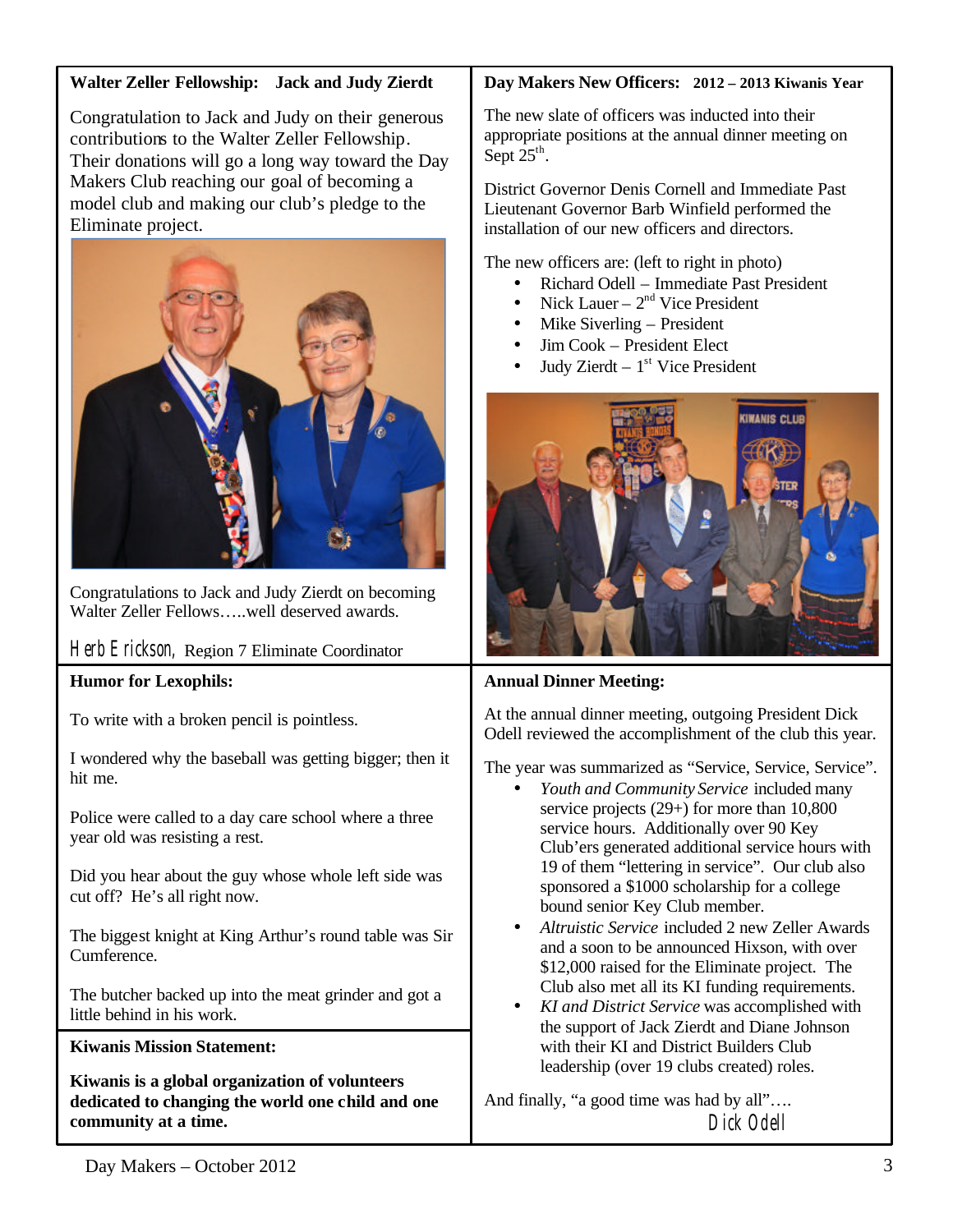## **Walter Zeller Fellowship: Jack and Judy Zierdt**

Congratulation to Jack and Judy on their generous contributions to the Walter Zeller Fellowship. Their donations will go a long way toward the Day Makers Club reaching our goal of becoming a model club and making our club's pledge to the Eliminate project.



Congratulations to Jack and Judy Zierdt on becoming Walter Zeller Fellows…..well deserved awards.

Herb Erickson, Region 7 Eliminate Coordinator

## **Humor for Lexophils:**

To write with a broken pencil is pointless.

I wondered why the baseball was getting bigger; then it hit me.

Police were called to a day care school where a three year old was resisting a rest.

Did you hear about the guy whose whole left side was cut off? He's all right now.

The biggest knight at King Arthur's round table was Sir Cumference.

The butcher backed up into the meat grinder and got a little behind in his work.

### **Kiwanis Mission Statement:**

**Kiwanis is a global organization of volunteers dedicated to changing the world one child and one community at a time.**

## **Day Makers New Officers: 2012 – 2013 Kiwanis Year**

The new slate of officers was inducted into their appropriate positions at the annual dinner meeting on Sept  $25^{\text{th}}$ .

District Governor Denis Cornell and Immediate Past Lieutenant Governor Barb Winfield performed the installation of our new officers and directors.

The new officers are: (left to right in photo)

- Richard Odell Immediate Past President
- Nick Lauer  $2<sup>nd</sup>$  Vice President
- Mike Siverling President
- Jim Cook President Elect
- Judy Zierdt  $1<sup>st</sup>$  Vice President



## **Annual Dinner Meeting:**

At the annual dinner meeting, outgoing President Dick Odell reviewed the accomplishment of the club this year.

The year was summarized as "Service, Service, Service".

- *Youth and Community Service* included many service projects (29+) for more than 10,800 service hours. Additionally over 90 Key Club'ers generated additional service hours with 19 of them "lettering in service". Our club also sponsored a \$1000 scholarship for a college bound senior Key Club member.
- *Altruistic Service* included 2 new Zeller Awards and a soon to be announced Hixson, with over \$12,000 raised for the Eliminate project. The Club also met all its KI funding requirements.
- *KI and District Service* was accomplished with the support of Jack Zierdt and Diane Johnson with their KI and District Builders Club leadership (over 19 clubs created) roles.

And finally, "a good time was had by all"…. Dick Odell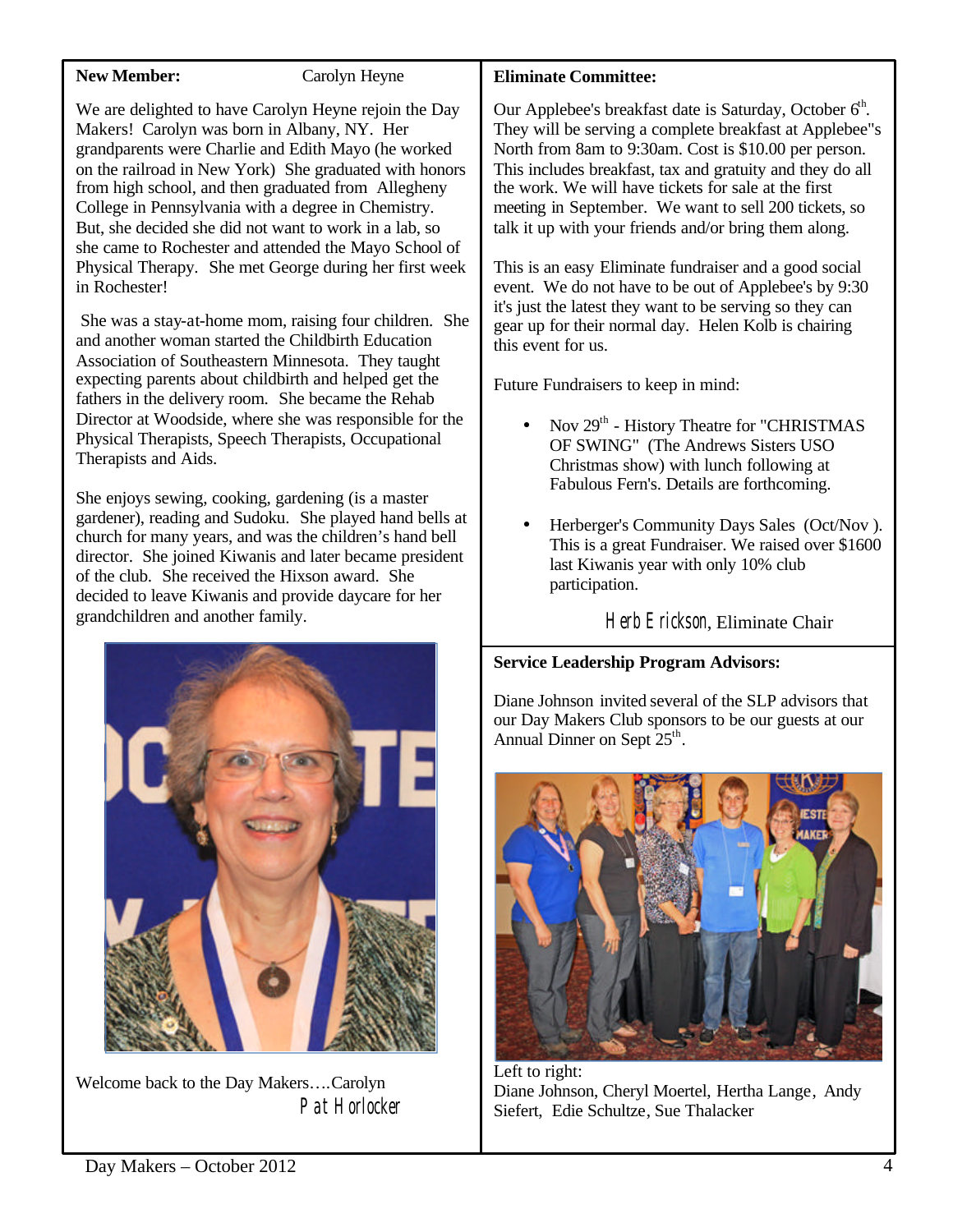### **New Member:** Carolyn Heyne

We are delighted to have Carolyn Heyne rejoin the Day Makers! Carolyn was born in Albany, NY. Her grandparents were Charlie and Edith Mayo (he worked on the railroad in New York) She graduated with honors from high school, and then graduated from Allegheny College in Pennsylvania with a degree in Chemistry. But, she decided she did not want to work in a lab, so she came to Rochester and attended the Mayo School of Physical Therapy. She met George during her first week in Rochester!

She was a stay-at-home mom, raising four children. She and another woman started the Childbirth Education Association of Southeastern Minnesota. They taught expecting parents about childbirth and helped get the fathers in the delivery room. She became the Rehab Director at Woodside, where she was responsible for the Physical Therapists, Speech Therapists, Occupational Therapists and Aids.

She enjoys sewing, cooking, gardening (is a master gardener), reading and Sudoku. She played hand bells at church for many years, and was the children's hand bell director. She joined Kiwanis and later became president of the club. She received the Hixson award. She decided to leave Kiwanis and provide daycare for her grandchildren and another family.



Welcome back to the Day Makers….Carolyn Pat Horlocker

## **Eliminate Committee:**

Our Applebee's breakfast date is Saturday, October  $6<sup>th</sup>$ . They will be serving a complete breakfast at Applebee"s North from 8am to 9:30am. Cost is \$10.00 per person. This includes breakfast, tax and gratuity and they do all the work. We will have tickets for sale at the first meeting in September. We want to sell 200 tickets, so talk it up with your friends and/or bring them along.

This is an easy Eliminate fundraiser and a good social event. We do not have to be out of Applebee's by 9:30 it's just the latest they want to be serving so they can gear up for their normal day. Helen Kolb is chairing this event for us.

Future Fundraisers to keep in mind:

- Nov 29<sup>th</sup> History Theatre for "CHRISTMAS OF SWING" (The Andrews Sisters USO Christmas show) with lunch following at Fabulous Fern's. Details are forthcoming.
- Herberger's Community Days Sales (Oct/Nov ). This is a great Fundraiser. We raised over \$1600 last Kiwanis year with only 10% club participation.

Herb Erickson, Eliminate Chair

## **Service Leadership Program Advisors:**

Diane Johnson invited several of the SLP advisors that our Day Makers Club sponsors to be our guests at our Annual Dinner on Sept  $25<sup>th</sup>$ .



Left to right: Diane Johnson, Cheryl Moertel, Hertha Lange, Andy Siefert, Edie Schultze, Sue Thalacker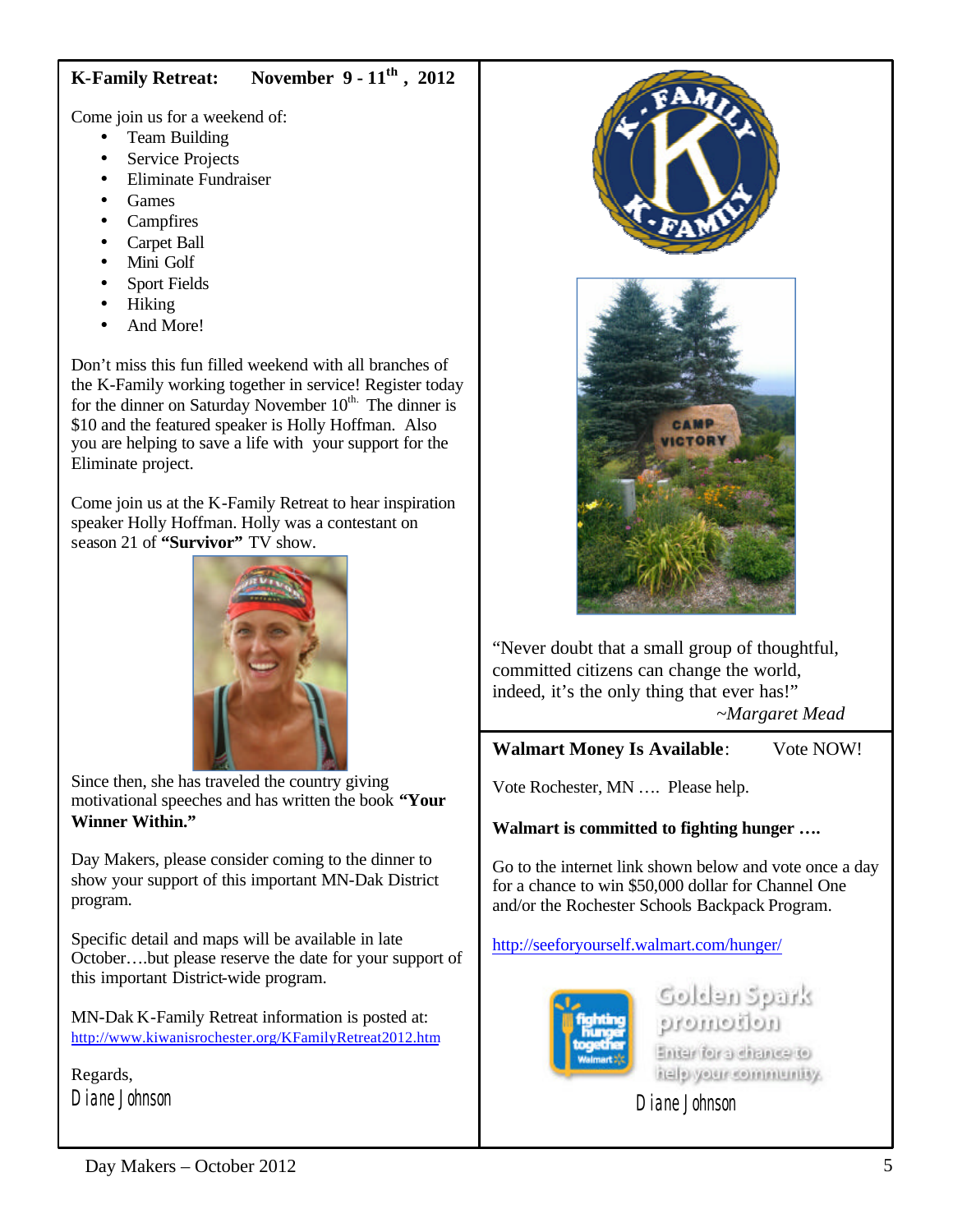# **K-Family Retreat: November 9 - 11th , 2012**

Come join us for a weekend of:

- Team Building
- Service Projects
- Eliminate Fundraiser
- Games
- **Campfires**
- Carpet Ball
- Mini Golf
- Sport Fields
- Hiking
- And More!

Don't miss this fun filled weekend with all branches of the K-Family working together in service! Register today for the dinner on Saturday November  $10^{th}$ . The dinner is \$10 and the featured speaker is Holly Hoffman. Also you are helping to save a life with your support for the Eliminate project.

Come join us at the K-Family Retreat to hear inspiration speaker Holly Hoffman. Holly was a contestant on season 21 of **"Survivor"** TV show.



Since then, she has traveled the country giving motivational speeches and has written the book **"Your Winner Within."**

Day Makers, please consider coming to the dinner to show your support of this important MN-Dak District program.

Specific detail and maps will be available in late October….but please reserve the date for your support of this important District-wide program.

MN-Dak K-Family Retreat information is posted at: <http://www.kiwanisrochester.org/KFamilyRetreat2012.htm>

Regards, Diane Johnson





"Never doubt that a small group of thoughtful, committed citizens can change the world, indeed, it's the only thing that ever has!" *~Margaret Mead*

**Walmart Money Is Available**: Vote NOW!

Vote Rochester, MN …. Please help.

**Walmart is committed to fighting hunger ….**

Go to the internet link shown below and vote once a day for a chance to win \$50,000 dollar for Channel One and/or the Rochester Schools Backpack Program.

<http://seeforyourself.walmart.com/hunger/>



فانتترك معاءلتك nomotion Enter for a chance to italy year community.

Diane Johnson